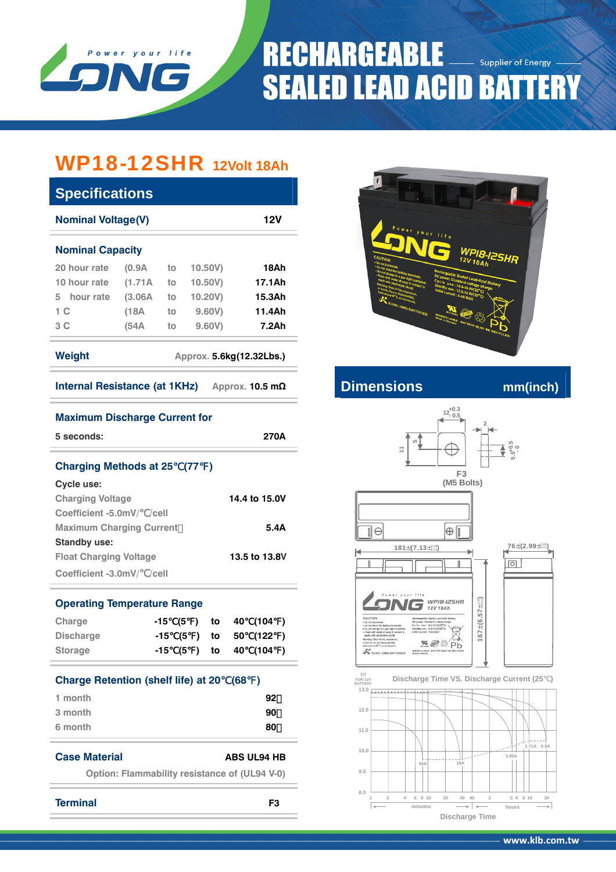

# **RECHARGEABLE** Supplier of Energy **SEALED LEAD ACID BATTERY**

## WP18-12SHR **12Volt 18Ah**

| <b>Specifications</b>                         |                                                      |                                         |            |                          |
|-----------------------------------------------|------------------------------------------------------|-----------------------------------------|------------|--------------------------|
| <b>Nominal Voltage(V)</b>                     |                                                      |                                         |            | 12V                      |
| <b>Nominal Capacity</b>                       |                                                      |                                         |            |                          |
| 20 hour rate                                  | (0.9A)                                               | to                                      | 10.50V)    | 18Ah                     |
| 10 hour rate                                  | (1.71A)                                              | to                                      | $10.50V$ ) | 17.1Ah                   |
| 5 hour rate                                   | (3.06A)                                              | to                                      | 10.20V)    | 15.3Ah                   |
| 1 C                                           | (18A)                                                | to                                      | 9.60V)     | 11.4Ah                   |
| 3 C                                           | (54A                                                 | to                                      | 9.60V)     | 7.2Ah                    |
| <b>Weight</b>                                 |                                                      |                                         |            | Approx. 5.6kg(12.32Lbs.) |
| Internal Resistance (at 1KHz) Approx. 10.5 mΩ |                                                      |                                         |            |                          |
| <b>Maximum Discharge Current for</b>          |                                                      |                                         |            |                          |
| 5 seconds:                                    |                                                      |                                         |            | 270A                     |
|                                               |                                                      |                                         |            |                          |
| <b>Charging Methods at 25 (77)</b>            |                                                      |                                         |            |                          |
| Cycle use:                                    |                                                      |                                         |            |                          |
| <b>Charging Voltage</b>                       |                                                      |                                         |            | 14.4 to 15.0V            |
| Coefficient -5.0mV/ /cell                     |                                                      |                                         |            |                          |
| <b>Maximum Charging Current</b>               |                                                      |                                         |            | 5.4A                     |
| <b>Standby use:</b>                           |                                                      |                                         |            |                          |
| <b>Float Charging Voltage</b>                 |                                                      |                                         |            | 13.5 to 13.8V            |
| Coefficient -3.0mV/ /cell                     |                                                      |                                         |            |                          |
| <b>Operating Temperature Range</b>            |                                                      |                                         |            |                          |
| Charge                                        | -15                                                  | (5                                      | to         | (104)<br>40              |
| <b>Discharge</b>                              |                                                      | $-15$<br>(5<br>$\overline{\phantom{a}}$ | to         | 50<br>(122)              |
| <b>Storage</b>                                |                                                      | -15 (5 ) to                             |            | 40 (104 )                |
|                                               |                                                      |                                         |            |                          |
| <b>Charge Retention (shelf life) at 20</b>    |                                                      |                                         |            | (68)                     |
| 1 month                                       |                                                      |                                         |            | 92                       |
| 3 month                                       |                                                      |                                         |            | 90                       |
| 6 month                                       |                                                      |                                         |            | 80                       |
|                                               |                                                      |                                         |            |                          |
| <b>Case Material</b>                          |                                                      |                                         |            | <b>ABS UL94 HB</b>       |
|                                               | <b>Option: Flammability resistance of (UL94 V-0)</b> |                                         |            |                          |
|                                               |                                                      |                                         |            |                          |
| <b>Terminal</b>                               |                                                      |                                         |            | F <sub>3</sub>           |



### **Internal Resistance CONS** mm(inch)



**hours** and the matrice of the matrice of the matrice of the matrice of the matrice of the matrice of the matrice of the matrice of the matrice of the matrice of the matrice of the matrice of the matrice of the matrice of

**Discharge Time**

 $\frac{5}{6}$  **8** 10 20